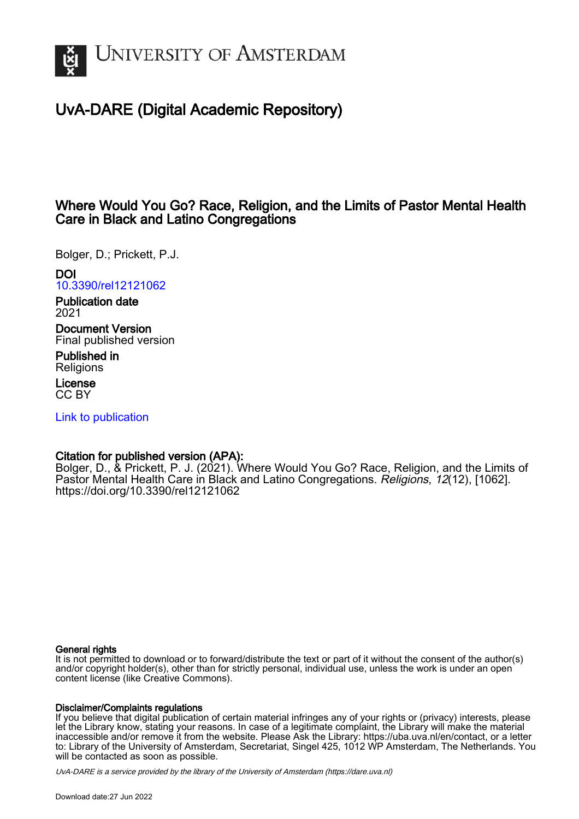

# UvA-DARE (Digital Academic Repository)

# Where Would You Go? Race, Religion, and the Limits of Pastor Mental Health Care in Black and Latino Congregations

Bolger, D.; Prickett, P.J.

# DOI

[10.3390/rel12121062](https://doi.org/10.3390/rel12121062)

Publication date 2021

Document Version Final published version

Published in **Religions** 

License CC BY

[Link to publication](https://dare.uva.nl/personal/pure/en/publications/where-would-you-go-race-religion-and-the-limits-of-pastor-mental-health-care-in-black-and-latino-congregations(d5668364-0874-40da-9076-94e346dc358f).html)

## Citation for published version (APA):

Bolger, D., & Prickett, P. J. (2021). Where Would You Go? Race, Religion, and the Limits of Pastor Mental Health Care in Black and Latino Congregations. Religions, 12(12), [1062]. <https://doi.org/10.3390/rel12121062>

### General rights

It is not permitted to download or to forward/distribute the text or part of it without the consent of the author(s) and/or copyright holder(s), other than for strictly personal, individual use, unless the work is under an open content license (like Creative Commons).

### Disclaimer/Complaints regulations

If you believe that digital publication of certain material infringes any of your rights or (privacy) interests, please let the Library know, stating your reasons. In case of a legitimate complaint, the Library will make the material inaccessible and/or remove it from the website. Please Ask the Library: https://uba.uva.nl/en/contact, or a letter to: Library of the University of Amsterdam, Secretariat, Singel 425, 1012 WP Amsterdam, The Netherlands. You will be contacted as soon as possible.

UvA-DARE is a service provided by the library of the University of Amsterdam (http*s*://dare.uva.nl)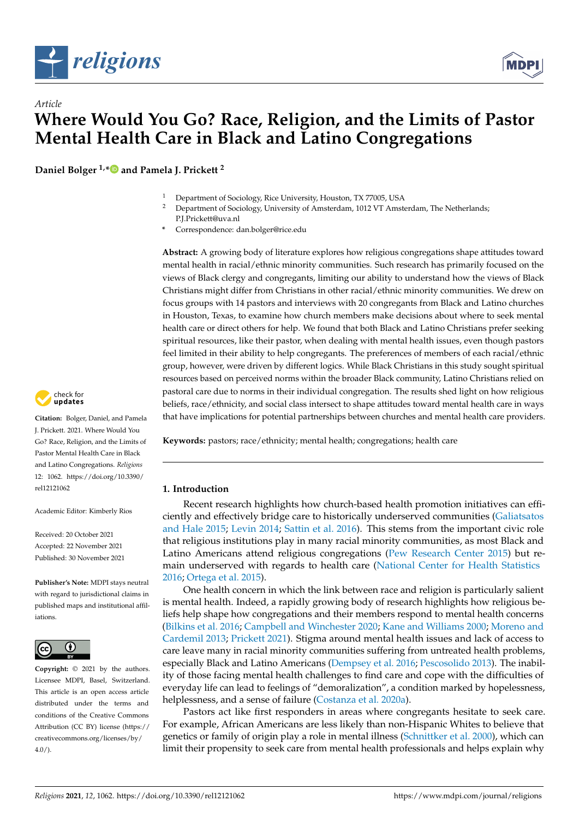



**Daniel Bolger 1,[\\*](https://orcid.org/0000-0002-4473-3965) and Pamela J. Prickett <sup>2</sup>**

- <sup>1</sup> Department of Sociology, Rice University, Houston, TX 77005, USA<br><sup>2</sup> Department of Sociology University of Amsterdam 1012 VT Amst
- <sup>2</sup> Department of Sociology, University of Amsterdam, 1012 VT Amsterdam, The Netherlands; P.J.Prickett@uva.nl
- **\*** Correspondence: dan.bolger@rice.edu

**Abstract:** A growing body of literature explores how religious congregations shape attitudes toward mental health in racial/ethnic minority communities. Such research has primarily focused on the views of Black clergy and congregants, limiting our ability to understand how the views of Black Christians might differ from Christians in other racial/ethnic minority communities. We drew on focus groups with 14 pastors and interviews with 20 congregants from Black and Latino churches in Houston, Texas, to examine how church members make decisions about where to seek mental health care or direct others for help. We found that both Black and Latino Christians prefer seeking spiritual resources, like their pastor, when dealing with mental health issues, even though pastors feel limited in their ability to help congregants. The preferences of members of each racial/ethnic group, however, were driven by different logics. While Black Christians in this study sought spiritual resources based on perceived norms within the broader Black community, Latino Christians relied on pastoral care due to norms in their individual congregation. The results shed light on how religious beliefs, race/ethnicity, and social class intersect to shape attitudes toward mental health care in ways that have implications for potential partnerships between churches and mental health care providers.

**Keywords:** pastors; race/ethnicity; mental health; congregations; health care

#### **1. Introduction**

Recent research highlights how church-based health promotion initiatives can efficiently and effectively bridge care to historically underserved communities [\(Galiatsatos](#page-14-0) [and Hale](#page-14-0) [2015;](#page-14-0) [Levin](#page-14-1) [2014;](#page-14-1) [Sattin et al.](#page-14-2) [2016\)](#page-14-2). This stems from the important civic role that religious institutions play in many racial minority communities, as most Black and Latino Americans attend religious congregations [\(Pew Research Center](#page-14-3) [2015\)](#page-14-3) but remain underserved with regards to health care [\(National Center for Health Statistics](#page-14-4) [2016;](#page-14-4) [Ortega et al.](#page-14-5) [2015\)](#page-14-5).

One health concern in which the link between race and religion is particularly salient is mental health. Indeed, a rapidly growing body of research highlights how religious beliefs help shape how congregations and their members respond to mental health concerns [\(Bilkins et al.](#page-13-0) [2016;](#page-13-0) [Campbell and Winchester](#page-13-1) [2020;](#page-13-1) [Kane and Williams](#page-14-6) [2000;](#page-14-6) [Moreno and](#page-14-7) [Cardemil](#page-14-7) [2013;](#page-14-7) [Prickett](#page-14-8) [2021\)](#page-14-8). Stigma around mental health issues and lack of access to care leave many in racial minority communities suffering from untreated health problems, especially Black and Latino Americans [\(Dempsey et al.](#page-13-2) [2016;](#page-13-2) [Pescosolido](#page-14-9) [2013\)](#page-14-9). The inability of those facing mental health challenges to find care and cope with the difficulties of everyday life can lead to feelings of "demoralization", a condition marked by hopelessness, helplessness, and a sense of failure [\(Costanza et al.](#page-13-3) [2020a\)](#page-13-3).

Pastors act like first responders in areas where congregants hesitate to seek care. For example, African Americans are less likely than non-Hispanic Whites to believe that genetics or family of origin play a role in mental illness [\(Schnittker et al.](#page-15-0) [2000\)](#page-15-0), which can limit their propensity to seek care from mental health professionals and helps explain why



**Citation:** Bolger, Daniel, and Pamela J. Prickett. 2021. Where Would You Go? Race, Religion, and the Limits of Pastor Mental Health Care in Black and Latino Congregations. *Religions* 12: 1062. [https://doi.org/10.3390/](https://doi.org/10.3390/rel12121062) [rel12121062](https://doi.org/10.3390/rel12121062)

Academic Editor: Kimberly Rios

Received: 20 October 2021 Accepted: 22 November 2021 Published: 30 November 2021

**Publisher's Note:** MDPI stays neutral with regard to jurisdictional claims in published maps and institutional affiliations.



**Copyright:** © 2021 by the authors. Licensee MDPI, Basel, Switzerland. This article is an open access article distributed under the terms and conditions of the Creative Commons Attribution (CC BY) license (https:/[/](https://creativecommons.org/licenses/by/4.0/) [creativecommons.org/licenses/by/](https://creativecommons.org/licenses/by/4.0/)  $4.0/$ ).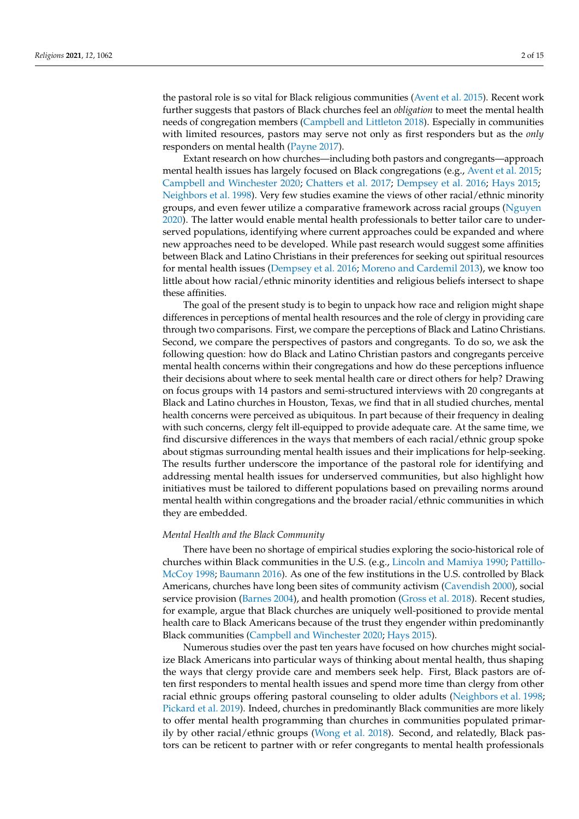the pastoral role is so vital for Black religious communities [\(Avent et al.](#page-13-4) [2015\)](#page-13-4). Recent work further suggests that pastors of Black churches feel an *obligation* to meet the mental health needs of congregation members [\(Campbell and Littleton](#page-13-5) [2018\)](#page-13-5). Especially in communities with limited resources, pastors may serve not only as first responders but as the *only* responders on mental health [\(Payne](#page-14-10) [2017\)](#page-14-10).

Extant research on how churches—including both pastors and congregants—approach mental health issues has largely focused on Black congregations (e.g., [Avent et al.](#page-13-4) [2015;](#page-13-4) [Campbell and Winchester](#page-13-1) [2020;](#page-13-1) [Chatters et al.](#page-13-6) [2017;](#page-13-6) [Dempsey et al.](#page-13-2) [2016;](#page-13-2) [Hays](#page-14-11) [2015;](#page-14-11) [Neighbors et al.](#page-14-12) [1998\)](#page-14-12). Very few studies examine the views of other racial/ethnic minority groups, and even fewer utilize a comparative framework across racial groups [\(Nguyen](#page-14-13) [2020\)](#page-14-13). The latter would enable mental health professionals to better tailor care to underserved populations, identifying where current approaches could be expanded and where new approaches need to be developed. While past research would suggest some affinities between Black and Latino Christians in their preferences for seeking out spiritual resources for mental health issues [\(Dempsey et al.](#page-13-2) [2016;](#page-13-2) [Moreno and Cardemil](#page-14-7) [2013\)](#page-14-7), we know too little about how racial/ethnic minority identities and religious beliefs intersect to shape these affinities.

The goal of the present study is to begin to unpack how race and religion might shape differences in perceptions of mental health resources and the role of clergy in providing care through two comparisons. First, we compare the perceptions of Black and Latino Christians. Second, we compare the perspectives of pastors and congregants. To do so, we ask the following question: how do Black and Latino Christian pastors and congregants perceive mental health concerns within their congregations and how do these perceptions influence their decisions about where to seek mental health care or direct others for help? Drawing on focus groups with 14 pastors and semi-structured interviews with 20 congregants at Black and Latino churches in Houston, Texas, we find that in all studied churches, mental health concerns were perceived as ubiquitous. In part because of their frequency in dealing with such concerns, clergy felt ill-equipped to provide adequate care. At the same time, we find discursive differences in the ways that members of each racial/ethnic group spoke about stigmas surrounding mental health issues and their implications for help-seeking. The results further underscore the importance of the pastoral role for identifying and addressing mental health issues for underserved communities, but also highlight how initiatives must be tailored to different populations based on prevailing norms around mental health within congregations and the broader racial/ethnic communities in which they are embedded.

#### *Mental Health and the Black Community*

There have been no shortage of empirical studies exploring the socio-historical role of churches within Black communities in the U.S. (e.g., [Lincoln and Mamiya](#page-14-14) [1990;](#page-14-14) [Pattillo-](#page-14-15)[McCoy](#page-14-15) [1998;](#page-14-15) [Baumann](#page-13-7) [2016\)](#page-13-7). As one of the few institutions in the U.S. controlled by Black Americans, churches have long been sites of community activism [\(Cavendish](#page-13-8) [2000\)](#page-13-8), social service provision [\(Barnes](#page-13-9) [2004\)](#page-13-9), and health promotion [\(Gross et al.](#page-14-16) [2018\)](#page-14-16). Recent studies, for example, argue that Black churches are uniquely well-positioned to provide mental health care to Black Americans because of the trust they engender within predominantly Black communities [\(Campbell and Winchester](#page-13-1) [2020;](#page-13-1) [Hays](#page-14-11) [2015\)](#page-14-11).

Numerous studies over the past ten years have focused on how churches might socialize Black Americans into particular ways of thinking about mental health, thus shaping the ways that clergy provide care and members seek help. First, Black pastors are often first responders to mental health issues and spend more time than clergy from other racial ethnic groups offering pastoral counseling to older adults [\(Neighbors et al.](#page-14-12) [1998;](#page-14-12) [Pickard et al.](#page-14-17) [2019\)](#page-14-17). Indeed, churches in predominantly Black communities are more likely to offer mental health programming than churches in communities populated primarily by other racial/ethnic groups [\(Wong et al.](#page-15-1) [2018\)](#page-15-1). Second, and relatedly, Black pastors can be reticent to partner with or refer congregants to mental health professionals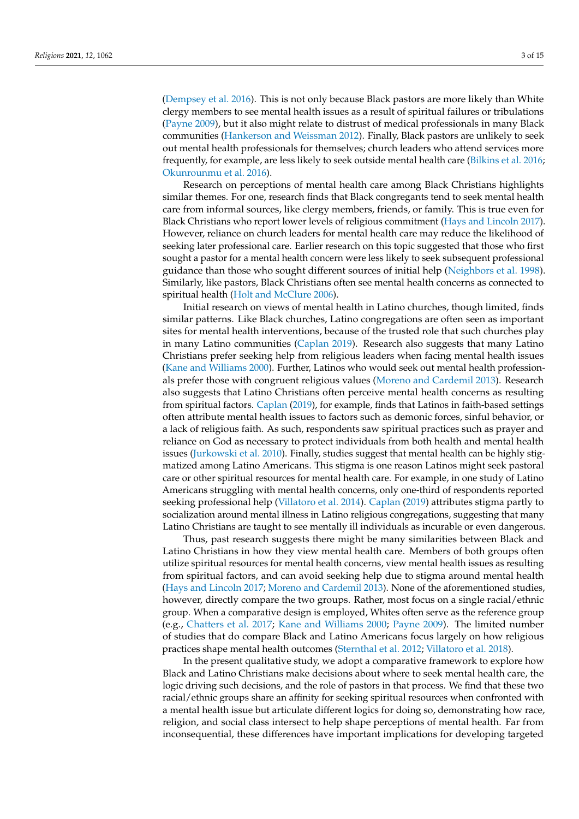[\(Dempsey et al.](#page-13-2) [2016\)](#page-13-2). This is not only because Black pastors are more likely than White clergy members to see mental health issues as a result of spiritual failures or tribulations [\(Payne](#page-14-18) [2009\)](#page-14-18), but it also might relate to distrust of medical professionals in many Black communities [\(Hankerson and Weissman](#page-14-19) [2012\)](#page-14-19). Finally, Black pastors are unlikely to seek out mental health professionals for themselves; church leaders who attend services more frequently, for example, are less likely to seek outside mental health care [\(Bilkins et al.](#page-13-0) [2016;](#page-13-0) [Okunrounmu et al.](#page-14-20) [2016\)](#page-14-20).

Research on perceptions of mental health care among Black Christians highlights similar themes. For one, research finds that Black congregants tend to seek mental health care from informal sources, like clergy members, friends, or family. This is true even for Black Christians who report lower levels of religious commitment [\(Hays and Lincoln](#page-14-21) [2017\)](#page-14-21). However, reliance on church leaders for mental health care may reduce the likelihood of seeking later professional care. Earlier research on this topic suggested that those who first sought a pastor for a mental health concern were less likely to seek subsequent professional guidance than those who sought different sources of initial help [\(Neighbors et al.](#page-14-12) [1998\)](#page-14-12). Similarly, like pastors, Black Christians often see mental health concerns as connected to spiritual health [\(Holt and McClure](#page-14-22) [2006\)](#page-14-22).

Initial research on views of mental health in Latino churches, though limited, finds similar patterns. Like Black churches, Latino congregations are often seen as important sites for mental health interventions, because of the trusted role that such churches play in many Latino communities [\(Caplan](#page-13-10) [2019\)](#page-13-10). Research also suggests that many Latino Christians prefer seeking help from religious leaders when facing mental health issues [\(Kane and Williams](#page-14-6) [2000\)](#page-14-6). Further, Latinos who would seek out mental health professionals prefer those with congruent religious values [\(Moreno and Cardemil](#page-14-7) [2013\)](#page-14-7). Research also suggests that Latino Christians often perceive mental health concerns as resulting from spiritual factors. [Caplan](#page-13-10) [\(2019\)](#page-13-10), for example, finds that Latinos in faith-based settings often attribute mental health issues to factors such as demonic forces, sinful behavior, or a lack of religious faith. As such, respondents saw spiritual practices such as prayer and reliance on God as necessary to protect individuals from both health and mental health issues [\(Jurkowski et al.](#page-14-23) [2010\)](#page-14-23). Finally, studies suggest that mental health can be highly stigmatized among Latino Americans. This stigma is one reason Latinos might seek pastoral care or other spiritual resources for mental health care. For example, in one study of Latino Americans struggling with mental health concerns, only one-third of respondents reported seeking professional help [\(Villatoro et al.](#page-15-2) [2014\)](#page-15-2). [Caplan](#page-13-10) [\(2019\)](#page-13-10) attributes stigma partly to socialization around mental illness in Latino religious congregations, suggesting that many Latino Christians are taught to see mentally ill individuals as incurable or even dangerous.

Thus, past research suggests there might be many similarities between Black and Latino Christians in how they view mental health care. Members of both groups often utilize spiritual resources for mental health concerns, view mental health issues as resulting from spiritual factors, and can avoid seeking help due to stigma around mental health [\(Hays and Lincoln](#page-14-21) [2017;](#page-14-21) [Moreno and Cardemil](#page-14-7) [2013\)](#page-14-7). None of the aforementioned studies, however, directly compare the two groups. Rather, most focus on a single racial/ethnic group. When a comparative design is employed, Whites often serve as the reference group (e.g., [Chatters et al.](#page-13-6) [2017;](#page-13-6) [Kane and Williams](#page-14-6) [2000;](#page-14-6) [Payne](#page-14-18) [2009\)](#page-14-18). The limited number of studies that do compare Black and Latino Americans focus largely on how religious practices shape mental health outcomes [\(Sternthal et al.](#page-15-3) [2012;](#page-15-3) [Villatoro et al.](#page-15-4) [2018\)](#page-15-4).

In the present qualitative study, we adopt a comparative framework to explore how Black and Latino Christians make decisions about where to seek mental health care, the logic driving such decisions, and the role of pastors in that process. We find that these two racial/ethnic groups share an affinity for seeking spiritual resources when confronted with a mental health issue but articulate different logics for doing so, demonstrating how race, religion, and social class intersect to help shape perceptions of mental health. Far from inconsequential, these differences have important implications for developing targeted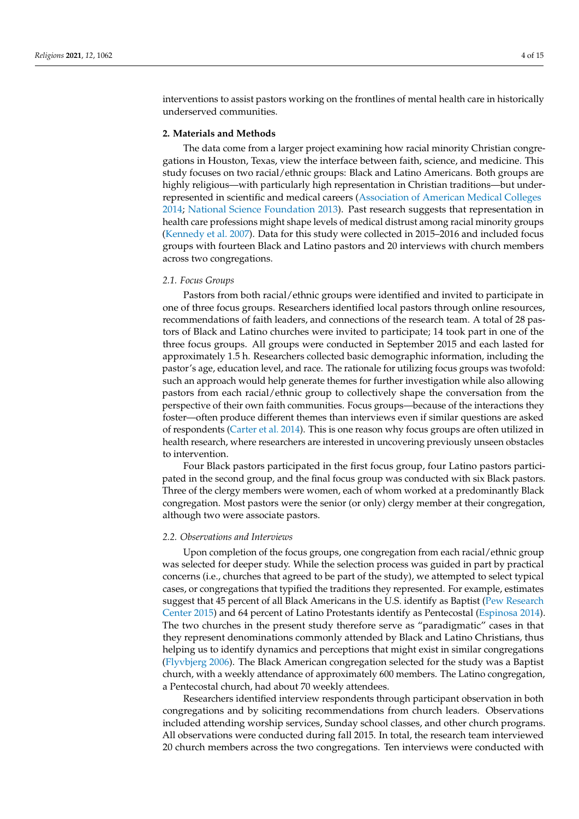interventions to assist pastors working on the frontlines of mental health care in historically underserved communities.

#### **2. Materials and Methods**

The data come from a larger project examining how racial minority Christian congregations in Houston, Texas, view the interface between faith, science, and medicine. This study focuses on two racial/ethnic groups: Black and Latino Americans. Both groups are highly religious—with particularly high representation in Christian traditions—but underrepresented in scientific and medical careers [\(Association of American Medical Colleges](#page-13-11) [2014;](#page-13-11) [National Science Foundation](#page-14-24) [2013\)](#page-14-24). Past research suggests that representation in health care professions might shape levels of medical distrust among racial minority groups [\(Kennedy et al.](#page-14-25) [2007\)](#page-14-25). Data for this study were collected in 2015–2016 and included focus groups with fourteen Black and Latino pastors and 20 interviews with church members across two congregations.

#### *2.1. Focus Groups*

Pastors from both racial/ethnic groups were identified and invited to participate in one of three focus groups. Researchers identified local pastors through online resources, recommendations of faith leaders, and connections of the research team. A total of 28 pastors of Black and Latino churches were invited to participate; 14 took part in one of the three focus groups. All groups were conducted in September 2015 and each lasted for approximately 1.5 h. Researchers collected basic demographic information, including the pastor's age, education level, and race. The rationale for utilizing focus groups was twofold: such an approach would help generate themes for further investigation while also allowing pastors from each racial/ethnic group to collectively shape the conversation from the perspective of their own faith communities. Focus groups—because of the interactions they foster—often produce different themes than interviews even if similar questions are asked of respondents [\(Carter et al.](#page-13-12) [2014\)](#page-13-12). This is one reason why focus groups are often utilized in health research, where researchers are interested in uncovering previously unseen obstacles to intervention.

Four Black pastors participated in the first focus group, four Latino pastors participated in the second group, and the final focus group was conducted with six Black pastors. Three of the clergy members were women, each of whom worked at a predominantly Black congregation. Most pastors were the senior (or only) clergy member at their congregation, although two were associate pastors.

#### *2.2. Observations and Interviews*

Upon completion of the focus groups, one congregation from each racial/ethnic group was selected for deeper study. While the selection process was guided in part by practical concerns (i.e., churches that agreed to be part of the study), we attempted to select typical cases, or congregations that typified the traditions they represented. For example, estimates suggest that 45 percent of all Black Americans in the U.S. identify as Baptist [\(Pew Research](#page-14-3) [Center](#page-14-3) [2015\)](#page-14-3) and 64 percent of Latino Protestants identify as Pentecostal [\(Espinosa](#page-13-13) [2014\)](#page-13-13). The two churches in the present study therefore serve as "paradigmatic" cases in that they represent denominations commonly attended by Black and Latino Christians, thus helping us to identify dynamics and perceptions that might exist in similar congregations [\(Flyvbjerg](#page-13-14) [2006\)](#page-13-14). The Black American congregation selected for the study was a Baptist church, with a weekly attendance of approximately 600 members. The Latino congregation, a Pentecostal church, had about 70 weekly attendees.

Researchers identified interview respondents through participant observation in both congregations and by soliciting recommendations from church leaders. Observations included attending worship services, Sunday school classes, and other church programs. All observations were conducted during fall 2015. In total, the research team interviewed 20 church members across the two congregations. Ten interviews were conducted with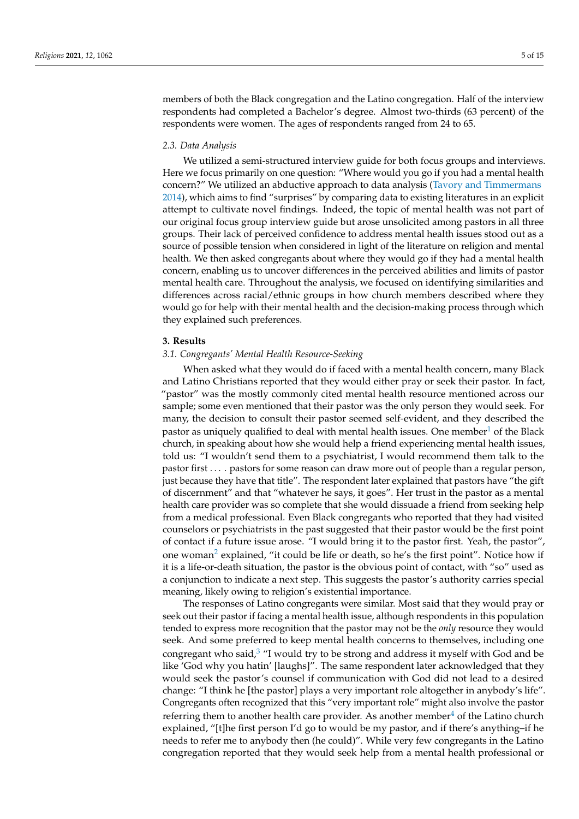members of both the Black congregation and the Latino congregation. Half of the interview respondents had completed a Bachelor's degree. Almost two-thirds (63 percent) of the respondents were women. The ages of respondents ranged from 24 to 65.

#### *2.3. Data Analysis*

We utilized a semi-structured interview guide for both focus groups and interviews. Here we focus primarily on one question: "Where would you go if you had a mental health concern?" We utilized an abductive approach to data analysis [\(Tavory and Timmermans](#page-15-5) [2014\)](#page-15-5), which aims to find "surprises" by comparing data to existing literatures in an explicit attempt to cultivate novel findings. Indeed, the topic of mental health was not part of our original focus group interview guide but arose unsolicited among pastors in all three groups. Their lack of perceived confidence to address mental health issues stood out as a source of possible tension when considered in light of the literature on religion and mental health. We then asked congregants about where they would go if they had a mental health concern, enabling us to uncover differences in the perceived abilities and limits of pastor mental health care. Throughout the analysis, we focused on identifying similarities and differences across racial/ethnic groups in how church members described where they would go for help with their mental health and the decision-making process through which they explained such preferences.

#### **3. Results**

#### *3.1. Congregants' Mental Health Resource-Seeking*

<span id="page-5-0"></span>When asked what they would do if faced with a mental health concern, many Black and Latino Christians reported that they would either pray or seek their pastor. In fact, "pastor" was the mostly commonly cited mental health resource mentioned across our sample; some even mentioned that their pastor was the only person they would seek. For many, the decision to consult their pastor seemed self-evident, and they described the pastor as uniquely qualified to deal with mental health issues. One member  $1$  of the Black church, in speaking about how she would help a friend experiencing mental health issues, told us: "I wouldn't send them to a psychiatrist, I would recommend them talk to the pastor first . . . . pastors for some reason can draw more out of people than a regular person, just because they have that title". The respondent later explained that pastors have "the gift of discernment" and that "whatever he says, it goes". Her trust in the pastor as a mental health care provider was so complete that she would dissuade a friend from seeking help from a medical professional. Even Black congregants who reported that they had visited counselors or psychiatrists in the past suggested that their pastor would be the first point of contact if a future issue arose. "I would bring it to the pastor first. Yeah, the pastor", one woman<sup>[2](#page-12-1)</sup> explained, "it could be life or death, so he's the first point". Notice how if it is a life-or-death situation, the pastor is the obvious point of contact, with "so" used as a conjunction to indicate a next step. This suggests the pastor's authority carries special meaning, likely owing to religion's existential importance.

<span id="page-5-3"></span><span id="page-5-2"></span><span id="page-5-1"></span>The responses of Latino congregants were similar. Most said that they would pray or seek out their pastor if facing a mental health issue, although respondents in this population tended to express more recognition that the pastor may not be the *only* resource they would seek. And some preferred to keep mental health concerns to themselves, including one congregant who said, $3$  "I would try to be strong and address it myself with God and be like 'God why you hatin' [laughs]". The same respondent later acknowledged that they would seek the pastor's counsel if communication with God did not lead to a desired change: "I think he [the pastor] plays a very important role altogether in anybody's life". Congregants often recognized that this "very important role" might also involve the pastor referring them to another health care provider. As another member<sup>[4](#page-12-3)</sup> of the Latino church explained, "[t]he first person I'd go to would be my pastor, and if there's anything–if he needs to refer me to anybody then (he could)". While very few congregants in the Latino congregation reported that they would seek help from a mental health professional or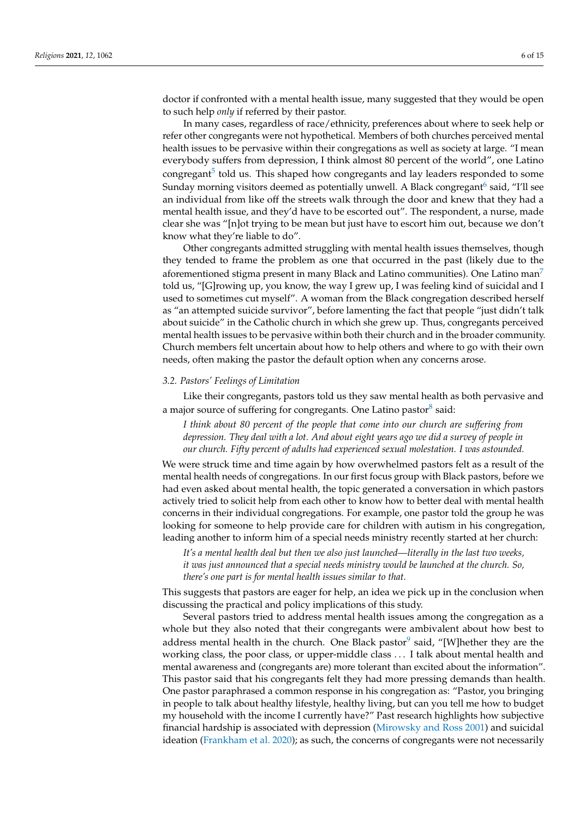doctor if confronted with a mental health issue, many suggested that they would be open to such help *only* if referred by their pastor.

<span id="page-6-1"></span><span id="page-6-0"></span>In many cases, regardless of race/ethnicity, preferences about where to seek help or refer other congregants were not hypothetical. Members of both churches perceived mental health issues to be pervasive within their congregations as well as society at large. "I mean everybody suffers from depression, I think almost 80 percent of the world", one Latino congregant<sup>[5](#page-12-4)</sup> told us. This shaped how congregants and lay leaders responded to some Sunday morning visitors deemed as potentially unwell. A Black congregant $^6$  $^6$  said, "I'll see an individual from like off the streets walk through the door and knew that they had a mental health issue, and they'd have to be escorted out". The respondent, a nurse, made clear she was "[n]ot trying to be mean but just have to escort him out, because we don't know what they're liable to do".

<span id="page-6-2"></span>Other congregants admitted struggling with mental health issues themselves, though they tended to frame the problem as one that occurred in the past (likely due to the aforementioned stigma present in many Black and Latino communities). One Latino man<sup>[7](#page-12-6)</sup> told us, "[G]rowing up, you know, the way I grew up, I was feeling kind of suicidal and I used to sometimes cut myself". A woman from the Black congregation described herself as "an attempted suicide survivor", before lamenting the fact that people "just didn't talk about suicide" in the Catholic church in which she grew up. Thus, congregants perceived mental health issues to be pervasive within both their church and in the broader community. Church members felt uncertain about how to help others and where to go with their own needs, often making the pastor the default option when any concerns arose.

#### *3.2. Pastors' Feelings of Limitation*

Like their congregants, pastors told us they saw mental health as both pervasive and a major source of suffering for congregants. One Latino pastor<sup>[8](#page-12-7)</sup> said:

<span id="page-6-3"></span>*I think about 80 percent of the people that come into our church are suffering from depression. They deal with a lot. And about eight years ago we did a survey of people in our church. Fifty percent of adults had experienced sexual molestation. I was astounded.*

We were struck time and time again by how overwhelmed pastors felt as a result of the mental health needs of congregations. In our first focus group with Black pastors, before we had even asked about mental health, the topic generated a conversation in which pastors actively tried to solicit help from each other to know how to better deal with mental health concerns in their individual congregations. For example, one pastor told the group he was looking for someone to help provide care for children with autism in his congregation, leading another to inform him of a special needs ministry recently started at her church:

<span id="page-6-4"></span>*It's a mental health deal but then we also just launched—literally in the last two weeks, it was just announced that a special needs ministry would be launched at the church. So, there's one part is for mental health issues similar to that.*

This suggests that pastors are eager for help, an idea we pick up in the conclusion when discussing the practical and policy implications of this study.

Several pastors tried to address mental health issues among the congregation as a whole but they also noted that their congregants were ambivalent about how best to address mental health in the church. One Black pastor<sup>[9](#page-12-8)</sup> said, "[W]hether they are the working class, the poor class, or upper-middle class . . . I talk about mental health and mental awareness and (congregants are) more tolerant than excited about the information". This pastor said that his congregants felt they had more pressing demands than health. One pastor paraphrased a common response in his congregation as: "Pastor, you bringing in people to talk about healthy lifestyle, healthy living, but can you tell me how to budget my household with the income I currently have?" Past research highlights how subjective financial hardship is associated with depression [\(Mirowsky and Ross](#page-14-26) [2001\)](#page-14-26) and suicidal ideation [\(Frankham et al.](#page-13-15) [2020\)](#page-13-15); as such, the concerns of congregants were not necessarily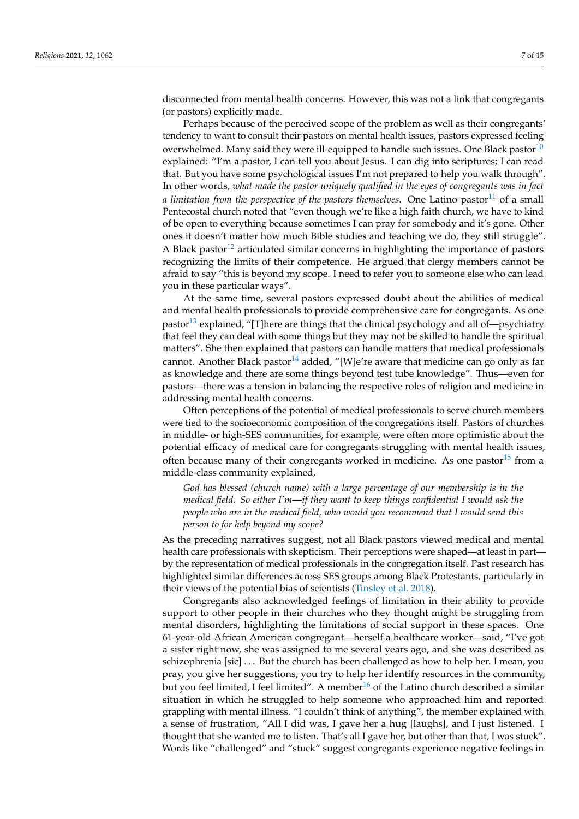disconnected from mental health concerns. However, this was not a link that congregants (or pastors) explicitly made.

<span id="page-7-1"></span><span id="page-7-0"></span>Perhaps because of the perceived scope of the problem as well as their congregants' tendency to want to consult their pastors on mental health issues, pastors expressed feeling overwhelmed. Many said they were ill-equipped to handle such issues. One Black pastor<sup>[10](#page-12-9)</sup> explained: "I'm a pastor, I can tell you about Jesus. I can dig into scriptures; I can read that. But you have some psychological issues I'm not prepared to help you walk through". In other words, *what made the pastor uniquely qualified in the eyes of congregants was in fact a limitation from the perspective of the pastors themselves.* One Latino pastor<sup>[11](#page-13-16)</sup> of a small Pentecostal church noted that "even though we're like a high faith church, we have to kind of be open to everything because sometimes I can pray for somebody and it's gone. Other ones it doesn't matter how much Bible studies and teaching we do, they still struggle". A Black pastor<sup>[12](#page-13-17)</sup> articulated similar concerns in highlighting the importance of pastors recognizing the limits of their competence. He argued that clergy members cannot be afraid to say "this is beyond my scope. I need to refer you to someone else who can lead you in these particular ways".

<span id="page-7-3"></span><span id="page-7-2"></span>At the same time, several pastors expressed doubt about the abilities of medical and mental health professionals to provide comprehensive care for congregants. As one pastor<sup>[13](#page-13-18)</sup> explained, "[T]here are things that the clinical psychology and all of—psychiatry that feel they can deal with some things but they may not be skilled to handle the spiritual matters". She then explained that pastors can handle matters that medical professionals cannot. Another Black pastor<sup>[14](#page-13-19)</sup> added, "[W]e're aware that medicine can go only as far as knowledge and there are some things beyond test tube knowledge". Thus—even for pastors—there was a tension in balancing the respective roles of religion and medicine in addressing mental health concerns.

<span id="page-7-4"></span>Often perceptions of the potential of medical professionals to serve church members were tied to the socioeconomic composition of the congregations itself. Pastors of churches in middle- or high-SES communities, for example, were often more optimistic about the potential efficacy of medical care for congregants struggling with mental health issues, often because many of their congregants worked in medicine. As one pastor  $15$  from a middle-class community explained,

<span id="page-7-5"></span>*God has blessed (church name) with a large percentage of our membership is in the medical field. So either I'm—if they want to keep things confidential I would ask the people who are in the medical field, who would you recommend that I would send this person to for help beyond my scope?*

As the preceding narratives suggest, not all Black pastors viewed medical and mental health care professionals with skepticism. Their perceptions were shaped—at least in part by the representation of medical professionals in the congregation itself. Past research has highlighted similar differences across SES groups among Black Protestants, particularly in their views of the potential bias of scientists [\(Tinsley et al.](#page-15-6) [2018\)](#page-15-6).

<span id="page-7-6"></span>Congregants also acknowledged feelings of limitation in their ability to provide support to other people in their churches who they thought might be struggling from mental disorders, highlighting the limitations of social support in these spaces. One 61-year-old African American congregant—herself a healthcare worker—said, "I've got a sister right now, she was assigned to me several years ago, and she was described as schizophrenia [sic] . . . But the church has been challenged as how to help her. I mean, you pray, you give her suggestions, you try to help her identify resources in the community, but you feel limited, I feel limited". A member<sup>[16](#page-13-21)</sup> of the Latino church described a similar situation in which he struggled to help someone who approached him and reported grappling with mental illness. "I couldn't think of anything", the member explained with a sense of frustration, "All I did was, I gave her a hug [laughs], and I just listened. I thought that she wanted me to listen. That's all I gave her, but other than that, I was stuck". Words like "challenged" and "stuck" suggest congregants experience negative feelings in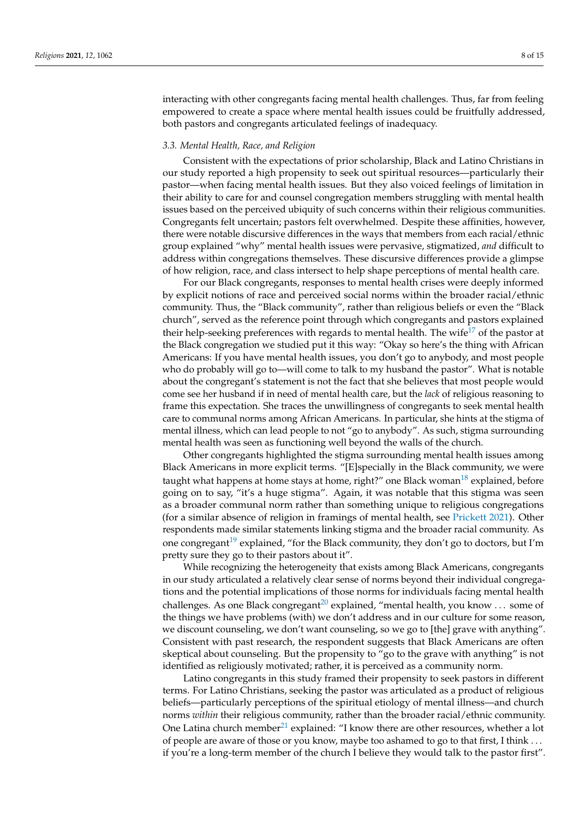interacting with other congregants facing mental health challenges. Thus, far from feeling empowered to create a space where mental health issues could be fruitfully addressed, both pastors and congregants articulated feelings of inadequacy.

#### *3.3. Mental Health, Race, and Religion*

Consistent with the expectations of prior scholarship, Black and Latino Christians in our study reported a high propensity to seek out spiritual resources—particularly their pastor—when facing mental health issues. But they also voiced feelings of limitation in their ability to care for and counsel congregation members struggling with mental health issues based on the perceived ubiquity of such concerns within their religious communities. Congregants felt uncertain; pastors felt overwhelmed. Despite these affinities, however, there were notable discursive differences in the ways that members from each racial/ethnic group explained "why" mental health issues were pervasive, stigmatized, *and* difficult to address within congregations themselves. These discursive differences provide a glimpse of how religion, race, and class intersect to help shape perceptions of mental health care.

<span id="page-8-0"></span>For our Black congregants, responses to mental health crises were deeply informed by explicit notions of race and perceived social norms within the broader racial/ethnic community. Thus, the "Black community", rather than religious beliefs or even the "Black church", served as the reference point through which congregants and pastors explained their help-seeking preferences with regards to mental health. The wife<sup>[17](#page-13-22)</sup> of the pastor at the Black congregation we studied put it this way: "Okay so here's the thing with African Americans: If you have mental health issues, you don't go to anybody, and most people who do probably will go to—will come to talk to my husband the pastor". What is notable about the congregant's statement is not the fact that she believes that most people would come see her husband if in need of mental health care, but the *lack* of religious reasoning to frame this expectation. She traces the unwillingness of congregants to seek mental health care to communal norms among African Americans. In particular, she hints at the stigma of mental illness, which can lead people to not "go to anybody". As such, stigma surrounding mental health was seen as functioning well beyond the walls of the church.

<span id="page-8-1"></span>Other congregants highlighted the stigma surrounding mental health issues among Black Americans in more explicit terms. "[E]specially in the Black community, we were taught what happens at home stays at home, right?" one Black woman $^{18}$  $^{18}$  $^{18}$  explained, before going on to say, "it's a huge stigma". Again, it was notable that this stigma was seen as a broader communal norm rather than something unique to religious congregations (for a similar absence of religion in framings of mental health, see [Prickett](#page-14-8) [2021\)](#page-14-8). Other respondents made similar statements linking stigma and the broader racial community. As one congregant<sup>[19](#page-13-24)</sup> explained, "for the Black community, they don't go to doctors, but I'm pretty sure they go to their pastors about it".

<span id="page-8-3"></span><span id="page-8-2"></span>While recognizing the heterogeneity that exists among Black Americans, congregants in our study articulated a relatively clear sense of norms beyond their individual congregations and the potential implications of those norms for individuals facing mental health challenges. As one Black congregant<sup>[20](#page-13-25)</sup> explained, "mental health, you know ... some of the things we have problems (with) we don't address and in our culture for some reason, we discount counseling, we don't want counseling, so we go to [the] grave with anything". Consistent with past research, the respondent suggests that Black Americans are often skeptical about counseling. But the propensity to "go to the grave with anything" is not identified as religiously motivated; rather, it is perceived as a community norm.

<span id="page-8-4"></span>Latino congregants in this study framed their propensity to seek pastors in different terms. For Latino Christians, seeking the pastor was articulated as a product of religious beliefs—particularly perceptions of the spiritual etiology of mental illness—and church norms *within* their religious community, rather than the broader racial/ethnic community. One Latina church member<sup>[21](#page-13-26)</sup> explained: "I know there are other resources, whether a lot of people are aware of those or you know, maybe too ashamed to go to that first, I think . . . if you're a long-term member of the church I believe they would talk to the pastor first".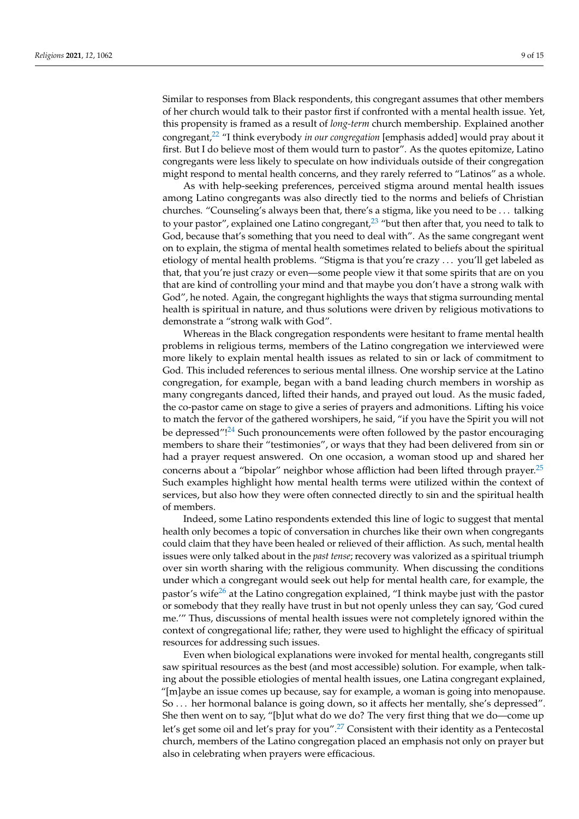Similar to responses from Black respondents, this congregant assumes that other members of her church would talk to their pastor first if confronted with a mental health issue. Yet, this propensity is framed as a result of *long-term* church membership. Explained another congregant,[22](#page-13-27) "I think everybody *in our congregation* [emphasis added] would pray about it first. But I do believe most of them would turn to pastor". As the quotes epitomize, Latino

<span id="page-9-1"></span>might respond to mental health concerns, and they rarely referred to "Latinos" as a whole. As with help-seeking preferences, perceived stigma around mental health issues among Latino congregants was also directly tied to the norms and beliefs of Christian churches. "Counseling's always been that, there's a stigma, like you need to be . . . talking to your pastor", explained one Latino congregant, $^{23}$  $^{23}$  $^{23}$  "but then after that, you need to talk to God, because that's something that you need to deal with". As the same congregant went on to explain, the stigma of mental health sometimes related to beliefs about the spiritual etiology of mental health problems. "Stigma is that you're crazy . . . you'll get labeled as that, that you're just crazy or even—some people view it that some spirits that are on you that are kind of controlling your mind and that maybe you don't have a strong walk with God", he noted. Again, the congregant highlights the ways that stigma surrounding mental health is spiritual in nature, and thus solutions were driven by religious motivations to demonstrate a "strong walk with God".

<span id="page-9-0"></span>congregants were less likely to speculate on how individuals outside of their congregation

Whereas in the Black congregation respondents were hesitant to frame mental health problems in religious terms, members of the Latino congregation we interviewed were more likely to explain mental health issues as related to sin or lack of commitment to God. This included references to serious mental illness. One worship service at the Latino congregation, for example, began with a band leading church members in worship as many congregants danced, lifted their hands, and prayed out loud. As the music faded, the co-pastor came on stage to give a series of prayers and admonitions. Lifting his voice to match the fervor of the gathered worshipers, he said, "if you have the Spirit you will not be depressed"!<sup>[24](#page-13-29)</sup> Such pronouncements were often followed by the pastor encouraging members to share their "testimonies", or ways that they had been delivered from sin or had a prayer request answered. On one occasion, a woman stood up and shared her concerns about a "bipolar" neighbor whose affliction had been lifted through prayer. $25$ Such examples highlight how mental health terms were utilized within the context of services, but also how they were often connected directly to sin and the spiritual health of members.

<span id="page-9-3"></span><span id="page-9-2"></span>Indeed, some Latino respondents extended this line of logic to suggest that mental health only becomes a topic of conversation in churches like their own when congregants could claim that they have been healed or relieved of their affliction. As such, mental health issues were only talked about in the *past tense*; recovery was valorized as a spiritual triumph over sin worth sharing with the religious community. When discussing the conditions under which a congregant would seek out help for mental health care, for example, the pastor's wife<sup>[26](#page-13-31)</sup> at the Latino congregation explained, "I think maybe just with the pastor or somebody that they really have trust in but not openly unless they can say, 'God cured me.'" Thus, discussions of mental health issues were not completely ignored within the context of congregational life; rather, they were used to highlight the efficacy of spiritual resources for addressing such issues.

<span id="page-9-5"></span><span id="page-9-4"></span>Even when biological explanations were invoked for mental health, congregants still saw spiritual resources as the best (and most accessible) solution. For example, when talking about the possible etiologies of mental health issues, one Latina congregant explained, "[m]aybe an issue comes up because, say for example, a woman is going into menopause. So . . . her hormonal balance is going down, so it affects her mentally, she's depressed". She then went on to say, "[b]ut what do we do? The very first thing that we do—come up let's get some oil and let's pray for you".<sup>[27](#page-13-32)</sup> Consistent with their identity as a Pentecostal church, members of the Latino congregation placed an emphasis not only on prayer but also in celebrating when prayers were efficacious.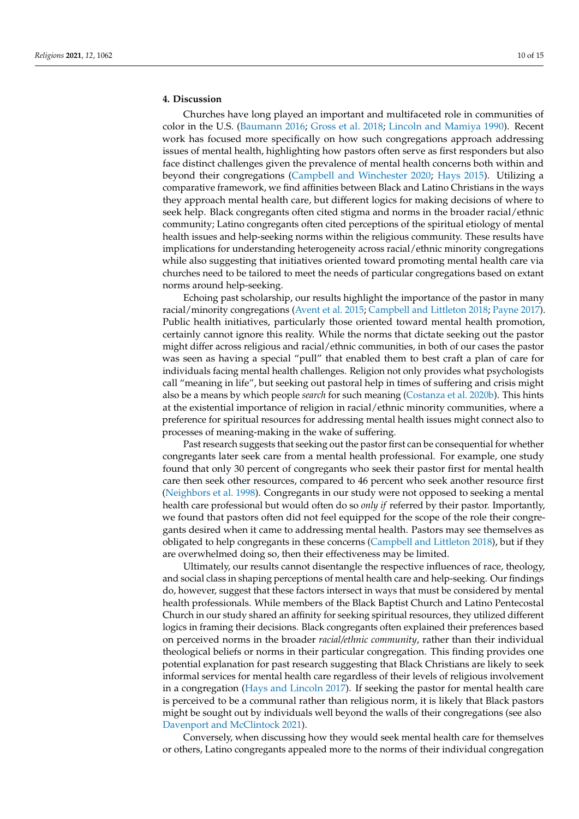### **4. Discussion**

Churches have long played an important and multifaceted role in communities of color in the U.S. [\(Baumann](#page-13-7) [2016;](#page-13-7) [Gross et al.](#page-14-16) [2018;](#page-14-16) [Lincoln and Mamiya](#page-14-14) [1990\)](#page-14-14). Recent work has focused more specifically on how such congregations approach addressing issues of mental health, highlighting how pastors often serve as first responders but also face distinct challenges given the prevalence of mental health concerns both within and beyond their congregations [\(Campbell and Winchester](#page-13-1) [2020;](#page-13-1) [Hays](#page-14-11) [2015\)](#page-14-11). Utilizing a comparative framework, we find affinities between Black and Latino Christians in the ways they approach mental health care, but different logics for making decisions of where to seek help. Black congregants often cited stigma and norms in the broader racial/ethnic community; Latino congregants often cited perceptions of the spiritual etiology of mental health issues and help-seeking norms within the religious community. These results have implications for understanding heterogeneity across racial/ethnic minority congregations while also suggesting that initiatives oriented toward promoting mental health care via churches need to be tailored to meet the needs of particular congregations based on extant norms around help-seeking.

Echoing past scholarship, our results highlight the importance of the pastor in many racial/minority congregations [\(Avent et al.](#page-13-4) [2015;](#page-13-4) [Campbell and Littleton](#page-13-5) [2018;](#page-13-5) [Payne](#page-14-10) [2017\)](#page-14-10). Public health initiatives, particularly those oriented toward mental health promotion, certainly cannot ignore this reality. While the norms that dictate seeking out the pastor might differ across religious and racial/ethnic communities, in both of our cases the pastor was seen as having a special "pull" that enabled them to best craft a plan of care for individuals facing mental health challenges. Religion not only provides what psychologists call "meaning in life", but seeking out pastoral help in times of suffering and crisis might also be a means by which people *search* for such meaning [\(Costanza et al.](#page-13-33) [2020b\)](#page-13-33). This hints at the existential importance of religion in racial/ethnic minority communities, where a preference for spiritual resources for addressing mental health issues might connect also to processes of meaning-making in the wake of suffering.

Past research suggests that seeking out the pastor first can be consequential for whether congregants later seek care from a mental health professional. For example, one study found that only 30 percent of congregants who seek their pastor first for mental health care then seek other resources, compared to 46 percent who seek another resource first [\(Neighbors et al.](#page-14-12) [1998\)](#page-14-12). Congregants in our study were not opposed to seeking a mental health care professional but would often do so *only if* referred by their pastor. Importantly, we found that pastors often did not feel equipped for the scope of the role their congregants desired when it came to addressing mental health. Pastors may see themselves as obligated to help congregants in these concerns [\(Campbell and Littleton](#page-13-5) [2018\)](#page-13-5), but if they are overwhelmed doing so, then their effectiveness may be limited.

Ultimately, our results cannot disentangle the respective influences of race, theology, and social class in shaping perceptions of mental health care and help-seeking. Our findings do, however, suggest that these factors intersect in ways that must be considered by mental health professionals. While members of the Black Baptist Church and Latino Pentecostal Church in our study shared an affinity for seeking spiritual resources, they utilized different logics in framing their decisions. Black congregants often explained their preferences based on perceived norms in the broader *racial/ethnic community*, rather than their individual theological beliefs or norms in their particular congregation. This finding provides one potential explanation for past research suggesting that Black Christians are likely to seek informal services for mental health care regardless of their levels of religious involvement in a congregation [\(Hays and Lincoln](#page-14-21) [2017\)](#page-14-21). If seeking the pastor for mental health care is perceived to be a communal rather than religious norm, it is likely that Black pastors might be sought out by individuals well beyond the walls of their congregations (see also [Davenport and McClintock](#page-13-34) [2021\)](#page-13-34).

Conversely, when discussing how they would seek mental health care for themselves or others, Latino congregants appealed more to the norms of their individual congregation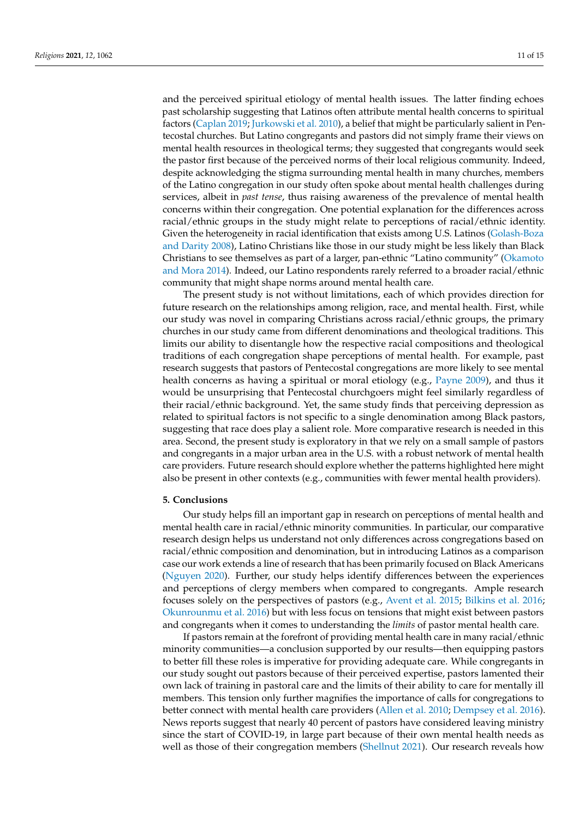and the perceived spiritual etiology of mental health issues. The latter finding echoes past scholarship suggesting that Latinos often attribute mental health concerns to spiritual factors [\(Caplan](#page-13-10) [2019;](#page-13-10) [Jurkowski et al.](#page-14-23) [2010\)](#page-14-23), a belief that might be particularly salient in Pentecostal churches. But Latino congregants and pastors did not simply frame their views on mental health resources in theological terms; they suggested that congregants would seek the pastor first because of the perceived norms of their local religious community. Indeed, despite acknowledging the stigma surrounding mental health in many churches, members of the Latino congregation in our study often spoke about mental health challenges during services, albeit in *past tense*, thus raising awareness of the prevalence of mental health concerns within their congregation. One potential explanation for the differences across racial/ethnic groups in the study might relate to perceptions of racial/ethnic identity. Given the heterogeneity in racial identification that exists among U.S. Latinos [\(Golash-Boza](#page-14-27) [and Darity](#page-14-27) [2008\)](#page-14-27), Latino Christians like those in our study might be less likely than Black Christians to see themselves as part of a larger, pan-ethnic "Latino community" [\(Okamoto](#page-14-28) [and Mora](#page-14-28) [2014\)](#page-14-28). Indeed, our Latino respondents rarely referred to a broader racial/ethnic community that might shape norms around mental health care.

The present study is not without limitations, each of which provides direction for future research on the relationships among religion, race, and mental health. First, while our study was novel in comparing Christians across racial/ethnic groups, the primary churches in our study came from different denominations and theological traditions. This limits our ability to disentangle how the respective racial compositions and theological traditions of each congregation shape perceptions of mental health. For example, past research suggests that pastors of Pentecostal congregations are more likely to see mental health concerns as having a spiritual or moral etiology (e.g., [Payne](#page-14-18) [2009\)](#page-14-18), and thus it would be unsurprising that Pentecostal churchgoers might feel similarly regardless of their racial/ethnic background. Yet, the same study finds that perceiving depression as related to spiritual factors is not specific to a single denomination among Black pastors, suggesting that race does play a salient role. More comparative research is needed in this area. Second, the present study is exploratory in that we rely on a small sample of pastors and congregants in a major urban area in the U.S. with a robust network of mental health care providers. Future research should explore whether the patterns highlighted here might also be present in other contexts (e.g., communities with fewer mental health providers).

#### **5. Conclusions**

Our study helps fill an important gap in research on perceptions of mental health and mental health care in racial/ethnic minority communities. In particular, our comparative research design helps us understand not only differences across congregations based on racial/ethnic composition and denomination, but in introducing Latinos as a comparison case our work extends a line of research that has been primarily focused on Black Americans [\(Nguyen](#page-14-13) [2020\)](#page-14-13). Further, our study helps identify differences between the experiences and perceptions of clergy members when compared to congregants. Ample research focuses solely on the perspectives of pastors (e.g., [Avent et al.](#page-13-4) [2015;](#page-13-4) [Bilkins et al.](#page-13-0) [2016;](#page-13-0) [Okunrounmu et al.](#page-14-20) [2016\)](#page-14-20) but with less focus on tensions that might exist between pastors and congregants when it comes to understanding the *limits* of pastor mental health care.

If pastors remain at the forefront of providing mental health care in many racial/ethnic minority communities—a conclusion supported by our results—then equipping pastors to better fill these roles is imperative for providing adequate care. While congregants in our study sought out pastors because of their perceived expertise, pastors lamented their own lack of training in pastoral care and the limits of their ability to care for mentally ill members. This tension only further magnifies the importance of calls for congregations to better connect with mental health care providers [\(Allen et al.](#page-13-35) [2010;](#page-13-35) [Dempsey et al.](#page-13-2) [2016\)](#page-13-2). News reports suggest that nearly 40 percent of pastors have considered leaving ministry since the start of COVID-19, in large part because of their own mental health needs as well as those of their congregation members [\(Shellnut](#page-15-7) [2021\)](#page-15-7). Our research reveals how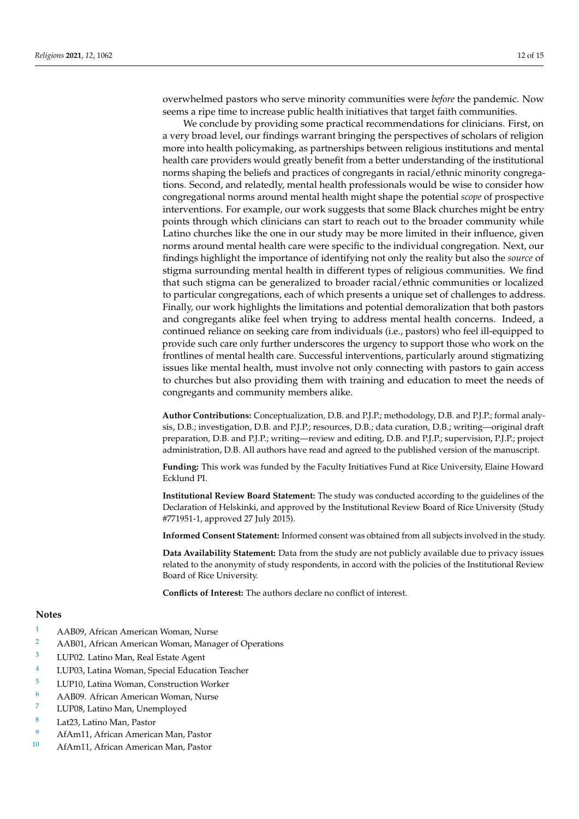overwhelmed pastors who serve minority communities were *before* the pandemic. Now seems a ripe time to increase public health initiatives that target faith communities.

We conclude by providing some practical recommendations for clinicians. First, on a very broad level, our findings warrant bringing the perspectives of scholars of religion more into health policymaking, as partnerships between religious institutions and mental health care providers would greatly benefit from a better understanding of the institutional norms shaping the beliefs and practices of congregants in racial/ethnic minority congregations. Second, and relatedly, mental health professionals would be wise to consider how congregational norms around mental health might shape the potential *scope* of prospective interventions. For example, our work suggests that some Black churches might be entry points through which clinicians can start to reach out to the broader community while Latino churches like the one in our study may be more limited in their influence, given norms around mental health care were specific to the individual congregation. Next, our findings highlight the importance of identifying not only the reality but also the *source* of stigma surrounding mental health in different types of religious communities. We find that such stigma can be generalized to broader racial/ethnic communities or localized to particular congregations, each of which presents a unique set of challenges to address. Finally, our work highlights the limitations and potential demoralization that both pastors and congregants alike feel when trying to address mental health concerns. Indeed, a continued reliance on seeking care from individuals (i.e., pastors) who feel ill-equipped to provide such care only further underscores the urgency to support those who work on the frontlines of mental health care. Successful interventions, particularly around stigmatizing issues like mental health, must involve not only connecting with pastors to gain access to churches but also providing them with training and education to meet the needs of congregants and community members alike.

**Author Contributions:** Conceptualization, D.B. and P.J.P.; methodology, D.B. and P.J.P.; formal analysis, D.B.; investigation, D.B. and P.J.P.; resources, D.B.; data curation, D.B.; writing—original draft preparation, D.B. and P.J.P.; writing—review and editing, D.B. and P.J.P.; supervision, P.J.P.; project administration, D.B. All authors have read and agreed to the published version of the manuscript.

**Funding:** This work was funded by the Faculty Initiatives Fund at Rice University, Elaine Howard Ecklund PI.

**Institutional Review Board Statement:** The study was conducted according to the guidelines of the Declaration of Helskinki, and approved by the Institutional Review Board of Rice University (Study #771951-1, approved 27 July 2015).

**Informed Consent Statement:** Informed consent was obtained from all subjects involved in the study.

**Data Availability Statement:** Data from the study are not publicly available due to privacy issues related to the anonymity of study respondents, in accord with the policies of the Institutional Review Board of Rice University.

**Conflicts of Interest:** The authors declare no conflict of interest.

#### **Notes**

- <span id="page-12-0"></span>[1](#page-5-0) AAB09, African American Woman, Nurse
- <span id="page-12-1"></span>[2](#page-5-1) AAB01, African American Woman, Manager of Operations
- <span id="page-12-2"></span>[3](#page-5-2) LUP02. Latino Man, Real Estate Agent
- <span id="page-12-3"></span>[4](#page-5-3) LUP03, Latina Woman, Special Education Teacher
- <span id="page-12-4"></span>[5](#page-6-0) LUP10, Latina Woman, Construction Worker
- <span id="page-12-5"></span>[6](#page-6-1) AAB09. African American Woman, Nurse
- <span id="page-12-6"></span>LUP08, Latino Man, Unemployed
- <span id="page-12-7"></span> $\frac{8}{9}$  $\frac{8}{9}$  $\frac{8}{9}$  Lat<sup>23</sup>, Latino Man, Pastor
- <span id="page-12-8"></span>[9](#page-6-4) AfAm11, African American Man, Pastor
- <span id="page-12-9"></span>[10](#page-7-0) AfAm11, African American Man, Pastor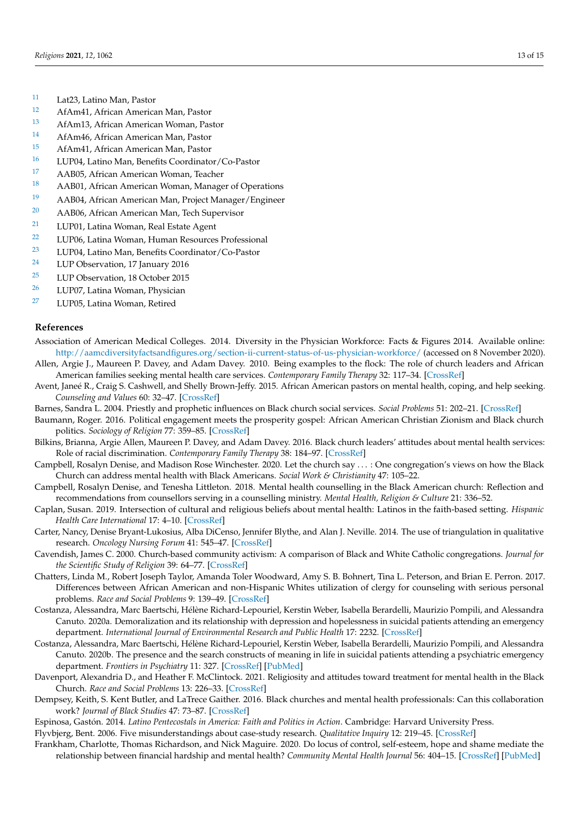- <span id="page-13-16"></span>[11](#page-7-1) Lat23, Latino Man, Pastor
- <span id="page-13-17"></span><sup>[12](#page-7-2)</sup> AfAm41, African American Man, Pastor<br><sup>13</sup> AfAm13, African American Woman, Pas
- <span id="page-13-18"></span>[13](#page-7-3) AfAm13, African American Woman, Pastor
- <span id="page-13-19"></span>[14](#page-7-4) AfAm46, African American Man, Pastor
- <span id="page-13-20"></span>[15](#page-7-5) AfAm41, African American Man, Pastor
- <span id="page-13-21"></span>[16](#page-7-6) LUP04, Latino Man, Benefits Coordinator/Co-Pastor<br>17 A A B05, A frican American Woman, Teacher
- <span id="page-13-22"></span><sup>[17](#page-8-0)</sup> AAB05, African American Woman, Teacher
- <span id="page-13-23"></span>[18](#page-8-1) AAB01, African American Woman, Manager of Operations
- <span id="page-13-24"></span>[19](#page-8-2) AAB04, African American Man, Project Manager/Engineer
- <span id="page-13-25"></span>[20](#page-8-3) AAB06, African American Man, Tech Supervisor
- <span id="page-13-26"></span>[21](#page-8-4) LUP01, Latina Woman, Real Estate Agent
- <span id="page-13-27"></span>[22](#page-9-0) LUP06, Latina Woman, Human Resources Professional
- <span id="page-13-28"></span><sup>[23](#page-9-1)</sup> LUP04, Latino Man, Benefits Coordinator/Co-Pastor<br><sup>24</sup> LUP Observation 17 January 2016
- <span id="page-13-29"></span>LUP Observation, 17 January 2016
- <span id="page-13-30"></span><sup>[25](#page-9-3)</sup> LUP Observation, 18 October 2015<br><sup>26</sup>  $\frac{15}{1007}$  Leting Waman, Physician
- <span id="page-13-31"></span>LUP07, Latina Woman, Physician
- <span id="page-13-32"></span>[27](#page-9-5) LUP05, Latina Woman, Retired

#### **References**

- <span id="page-13-11"></span>Association of American Medical Colleges. 2014. Diversity in the Physician Workforce: Facts & Figures 2014. Available online: <http://aamcdiversityfactsandfigures.org/section-ii-current-status-of-us-physician-workforce/> (accessed on 8 November 2020).
- <span id="page-13-35"></span>Allen, Argie J., Maureen P. Davey, and Adam Davey. 2010. Being examples to the flock: The role of church leaders and African American families seeking mental health care services. *Contemporary Family Therapy* 32: 117–34. [\[CrossRef\]](http://doi.org/10.1007/s10591-009-9108-4)
- <span id="page-13-4"></span>Avent, Janeé R., Craig S. Cashwell, and Shelly Brown-Jeffy. 2015. African American pastors on mental health, coping, and help seeking. *Counseling and Values* 60: 32–47. [\[CrossRef\]](http://doi.org/10.1002/j.2161-007X.2015.00059.x)
- <span id="page-13-9"></span>Barnes, Sandra L. 2004. Priestly and prophetic influences on Black church social services. *Social Problems* 51: 202–21. [\[CrossRef\]](http://doi.org/10.1525/sp.2004.51.2.202)
- <span id="page-13-7"></span>Baumann, Roger. 2016. Political engagement meets the prosperity gospel: African American Christian Zionism and Black church politics. *Sociology of Religion* 77: 359–85. [\[CrossRef\]](http://doi.org/10.1093/socrel/srw050)
- <span id="page-13-0"></span>Bilkins, Brianna, Argie Allen, Maureen P. Davey, and Adam Davey. 2016. Black church leaders' attitudes about mental health services: Role of racial discrimination. *Contemporary Family Therapy* 38: 184–97. [\[CrossRef\]](http://doi.org/10.1007/s10591-015-9363-5)
- <span id="page-13-1"></span>Campbell, Rosalyn Denise, and Madison Rose Winchester. 2020. Let the church say . . . : One congregation's views on how the Black Church can address mental health with Black Americans. *Social Work & Christianity* 47: 105–22.
- <span id="page-13-5"></span>Campbell, Rosalyn Denise, and Tenesha Littleton. 2018. Mental health counselling in the Black American church: Reflection and recommendations from counsellors serving in a counselling ministry. *Mental Health, Religion & Culture* 21: 336–52.
- <span id="page-13-10"></span>Caplan, Susan. 2019. Intersection of cultural and religious beliefs about mental health: Latinos in the faith-based setting. *Hispanic Health Care International* 17: 4–10. [\[CrossRef\]](http://doi.org/10.1177/1540415319828265)
- <span id="page-13-12"></span>Carter, Nancy, Denise Bryant-Lukosius, Alba DiCenso, Jennifer Blythe, and Alan J. Neville. 2014. The use of triangulation in qualitative research. *Oncology Nursing Forum* 41: 545–47. [\[CrossRef\]](http://doi.org/10.1188/14.ONF.545-547)
- <span id="page-13-8"></span>Cavendish, James C. 2000. Church-based community activism: A comparison of Black and White Catholic congregations. *Journal for the Scientific Study of Religion* 39: 64–77. [\[CrossRef\]](http://doi.org/10.1111/0021-8294.00006)
- <span id="page-13-6"></span>Chatters, Linda M., Robert Joseph Taylor, Amanda Toler Woodward, Amy S. B. Bohnert, Tina L. Peterson, and Brian E. Perron. 2017. Differences between African American and non-Hispanic Whites utilization of clergy for counseling with serious personal problems. *Race and Social Problems* 9: 139–49. [\[CrossRef\]](http://doi.org/10.1007/s12552-017-9207-z)
- <span id="page-13-3"></span>Costanza, Alessandra, Marc Baertschi, Hélène Richard-Lepouriel, Kerstin Weber, Isabella Berardelli, Maurizio Pompili, and Alessandra Canuto. 2020a. Demoralization and its relationship with depression and hopelessness in suicidal patients attending an emergency department. *International Journal of Environmental Research and Public Health* 17: 2232. [\[CrossRef\]](http://doi.org/10.3390/ijerph17072232)
- <span id="page-13-33"></span>Costanza, Alessandra, Marc Baertschi, Hélène Richard-Lepouriel, Kerstin Weber, Isabella Berardelli, Maurizio Pompili, and Alessandra Canuto. 2020b. The presence and the search constructs of meaning in life in suicidal patients attending a psychiatric emergency department. *Frontiers in Psychiatry* 11: 327. [\[CrossRef\]](http://doi.org/10.3389/fpsyt.2020.00327) [\[PubMed\]](http://www.ncbi.nlm.nih.gov/pubmed/32425828)
- <span id="page-13-34"></span>Davenport, Alexandria D., and Heather F. McClintock. 2021. Religiosity and attitudes toward treatment for mental health in the Black Church. *Race and Social Problems* 13: 226–33. [\[CrossRef\]](http://doi.org/10.1007/s12552-020-09311-2)
- <span id="page-13-2"></span>Dempsey, Keith, S. Kent Butler, and LaTrece Gaither. 2016. Black churches and mental health professionals: Can this collaboration work? *Journal of Black Studies* 47: 73–87. [\[CrossRef\]](http://doi.org/10.1177/0021934715613588)
- <span id="page-13-13"></span>Espinosa, Gastón. 2014. *Latino Pentecostals in America: Faith and Politics in Action*. Cambridge: Harvard University Press.

<span id="page-13-14"></span>Flyvbjerg, Bent. 2006. Five misunderstandings about case-study research. *Qualitative Inquiry* 12: 219–45. [\[CrossRef\]](http://doi.org/10.1177/1077800405284363)

<span id="page-13-15"></span>Frankham, Charlotte, Thomas Richardson, and Nick Maguire. 2020. Do locus of control, self-esteem, hope and shame mediate the relationship between financial hardship and mental health? *Community Mental Health Journal* 56: 404–15. [\[CrossRef\]](http://doi.org/10.1007/s10597-019-00467-9) [\[PubMed\]](http://www.ncbi.nlm.nih.gov/pubmed/31552540)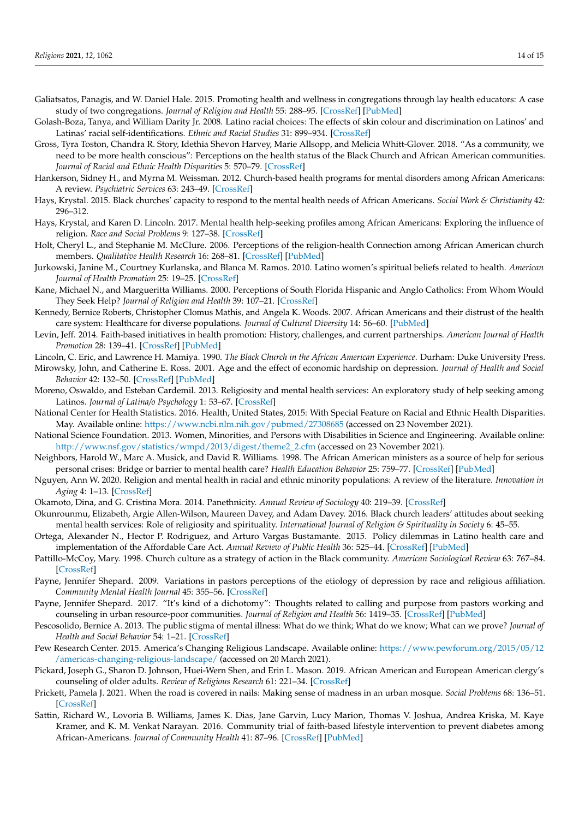- <span id="page-14-0"></span>Galiatsatos, Panagis, and W. Daniel Hale. 2015. Promoting health and wellness in congregations through lay health educators: A case study of two congregations. *Journal of Religion and Health* 55: 288–95. [\[CrossRef\]](http://doi.org/10.1007/s10943-015-0069-7) [\[PubMed\]](http://www.ncbi.nlm.nih.gov/pubmed/26014461)
- <span id="page-14-27"></span>Golash-Boza, Tanya, and William Darity Jr. 2008. Latino racial choices: The effects of skin colour and discrimination on Latinos' and Latinas' racial self-identifications. *Ethnic and Racial Studies* 31: 899–934. [\[CrossRef\]](http://doi.org/10.1080/01419870701568858)
- <span id="page-14-16"></span>Gross, Tyra Toston, Chandra R. Story, Idethia Shevon Harvey, Marie Allsopp, and Melicia Whitt-Glover. 2018. "As a community, we need to be more health conscious": Perceptions on the health status of the Black Church and African American communities. *Journal of Racial and Ethnic Health Disparities* 5: 570–79. [\[CrossRef\]](http://doi.org/10.1007/s40615-017-0401-x)
- <span id="page-14-19"></span>Hankerson, Sidney H., and Myrna M. Weissman. 2012. Church-based health programs for mental disorders among African Americans: A review. *Psychiatric Services* 63: 243–49. [\[CrossRef\]](http://doi.org/10.1176/appi.ps.201100216)
- <span id="page-14-11"></span>Hays, Krystal. 2015. Black churches' capacity to respond to the mental health needs of African Americans. *Social Work & Christianity* 42: 296–312.
- <span id="page-14-21"></span>Hays, Krystal, and Karen D. Lincoln. 2017. Mental health help-seeking profiles among African Americans: Exploring the influence of religion. *Race and Social Problems* 9: 127–38. [\[CrossRef\]](http://doi.org/10.1007/s12552-017-9193-1)
- <span id="page-14-22"></span>Holt, Cheryl L., and Stephanie M. McClure. 2006. Perceptions of the religion-health Connection among African American church members. *Qualitative Health Research* 16: 268–81. [\[CrossRef\]](http://doi.org/10.1177/1049732305275634) [\[PubMed\]](http://www.ncbi.nlm.nih.gov/pubmed/16394214)
- <span id="page-14-23"></span>Jurkowski, Janine M., Courtney Kurlanska, and Blanca M. Ramos. 2010. Latino women's spiritual beliefs related to health. *American Journal of Health Promotion* 25: 19–25. [\[CrossRef\]](http://doi.org/10.4278/ajhp.080923-QUAL-211)
- <span id="page-14-6"></span>Kane, Michael N., and Margueritta Williams. 2000. Perceptions of South Florida Hispanic and Anglo Catholics: From Whom Would They Seek Help? *Journal of Religion and Health* 39: 107–21. [\[CrossRef\]](http://doi.org/10.1023/A:1004662415327)
- <span id="page-14-25"></span>Kennedy, Bernice Roberts, Christopher Clomus Mathis, and Angela K. Woods. 2007. African Americans and their distrust of the health care system: Healthcare for diverse populations. *Journal of Cultural Diversity* 14: 56–60. [\[PubMed\]](http://www.ncbi.nlm.nih.gov/pubmed/19175244)
- <span id="page-14-1"></span>Levin, Jeff. 2014. Faith-based initiatives in health promotion: History, challenges, and current partnerships. *American Journal of Health Promotion* 28: 139–41. [\[CrossRef\]](http://doi.org/10.4278/ajhp.130403-CIT-149) [\[PubMed\]](http://www.ncbi.nlm.nih.gov/pubmed/24380422)
- <span id="page-14-14"></span>Lincoln, C. Eric, and Lawrence H. Mamiya. 1990. *The Black Church in the African American Experience*. Durham: Duke University Press.
- <span id="page-14-26"></span>Mirowsky, John, and Catherine E. Ross. 2001. Age and the effect of economic hardship on depression. *Journal of Health and Social Behavior* 42: 132–50. [\[CrossRef\]](http://doi.org/10.2307/3090174) [\[PubMed\]](http://www.ncbi.nlm.nih.gov/pubmed/11467249)
- <span id="page-14-7"></span>Moreno, Oswaldo, and Esteban Cardemil. 2013. Religiosity and mental health services: An exploratory study of help seeking among Latinos. *Journal of Latina/o Psychology* 1: 53–67. [\[CrossRef\]](http://doi.org/10.1037/a0031376)
- <span id="page-14-4"></span>National Center for Health Statistics. 2016. Health, United States, 2015: With Special Feature on Racial and Ethnic Health Disparities. May. Available online: <https://www.ncbi.nlm.nih.gov/pubmed/27308685> (accessed on 23 November 2021).
- <span id="page-14-24"></span>National Science Foundation. 2013. Women, Minorities, and Persons with Disabilities in Science and Engineering. Available online: [http://www.nsf.gov/statistics/wmpd/2013/digest/theme2\\_2.cfm](http://www.nsf.gov/statistics/wmpd/2013/digest/theme2_2.cfm) (accessed on 23 November 2021).
- <span id="page-14-12"></span>Neighbors, Harold W., Marc A. Musick, and David R. Williams. 1998. The African American ministers as a source of help for serious personal crises: Bridge or barrier to mental health care? *Health Education Behavior* 25: 759–77. [\[CrossRef\]](http://doi.org/10.1177/109019819802500606) [\[PubMed\]](http://www.ncbi.nlm.nih.gov/pubmed/9813746)
- <span id="page-14-13"></span>Nguyen, Ann W. 2020. Religion and mental health in racial and ethnic minority populations: A review of the literature. *Innovation in Aging* 4: 1–13. [\[CrossRef\]](http://doi.org/10.1093/geroni/igaa035)
- <span id="page-14-28"></span>Okamoto, Dina, and G. Cristina Mora. 2014. Panethnicity. *Annual Review of Sociology* 40: 219–39. [\[CrossRef\]](http://doi.org/10.1146/annurev-soc-071913-043201)
- <span id="page-14-20"></span>Okunrounmu, Elizabeth, Argie Allen-Wilson, Maureen Davey, and Adam Davey. 2016. Black church leaders' attitudes about seeking mental health services: Role of religiosity and spirituality. *International Journal of Religion & Spirituality in Society* 6: 45–55.
- <span id="page-14-5"></span>Ortega, Alexander N., Hector P. Rodriguez, and Arturo Vargas Bustamante. 2015. Policy dilemmas in Latino health care and implementation of the Affordable Care Act. *Annual Review of Public Health* 36: 525–44. [\[CrossRef\]](http://doi.org/10.1146/annurev-publhealth-031914-122421) [\[PubMed\]](http://www.ncbi.nlm.nih.gov/pubmed/25581154)
- <span id="page-14-15"></span>Pattillo-McCoy, Mary. 1998. Church culture as a strategy of action in the Black community. *American Sociological Review* 63: 767–84. [\[CrossRef\]](http://doi.org/10.2307/2657500)
- <span id="page-14-18"></span>Payne, Jennifer Shepard. 2009. Variations in pastors perceptions of the etiology of depression by race and religious affiliation. *Community Mental Health Journal* 45: 355–56. [\[CrossRef\]](http://doi.org/10.1007/s10597-009-9210-y)
- <span id="page-14-10"></span>Payne, Jennifer Shepard. 2017. "It's kind of a dichotomy": Thoughts related to calling and purpose from pastors working and counseling in urban resource-poor communities. *Journal of Religion and Health* 56: 1419–35. [\[CrossRef\]](http://doi.org/10.1007/s10943-017-0363-7) [\[PubMed\]](http://www.ncbi.nlm.nih.gov/pubmed/28150191)
- <span id="page-14-9"></span>Pescosolido, Bernice A. 2013. The public stigma of mental illness: What do we think; What do we know; What can we prove? *Journal of Health and Social Behavior* 54: 1–21. [\[CrossRef\]](http://doi.org/10.1177/0022146512471197)
- <span id="page-14-3"></span>Pew Research Center. 2015. America's Changing Religious Landscape. Available online: [https://www.pewforum.org/2015/05/12](https://www.pewforum.org/2015/05/12/americas-changing-religious-landscape/) [/americas-changing-religious-landscape/](https://www.pewforum.org/2015/05/12/americas-changing-religious-landscape/) (accessed on 20 March 2021).
- <span id="page-14-17"></span>Pickard, Joseph G., Sharon D. Johnson, Huei-Wern Shen, and Erin L. Mason. 2019. African American and European American clergy's counseling of older adults. *Review of Religious Research* 61: 221–34. [\[CrossRef\]](http://doi.org/10.1007/s13644-019-00372-3)
- <span id="page-14-8"></span>Prickett, Pamela J. 2021. When the road is covered in nails: Making sense of madness in an urban mosque. *Social Problems* 68: 136–51. [\[CrossRef\]](http://doi.org/10.1093/socpro/spz057)
- <span id="page-14-2"></span>Sattin, Richard W., Lovoria B. Williams, James K. Dias, Jane Garvin, Lucy Marion, Thomas V. Joshua, Andrea Kriska, M. Kaye Kramer, and K. M. Venkat Narayan. 2016. Community trial of faith-based lifestyle intervention to prevent diabetes among African-Americans. *Journal of Community Health* 41: 87–96. [\[CrossRef\]](http://doi.org/10.1007/s10900-015-0071-8) [\[PubMed\]](http://www.ncbi.nlm.nih.gov/pubmed/26215167)